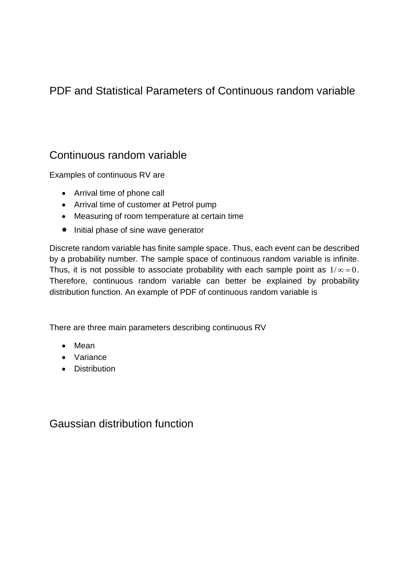# PDF and Statistical Parameters of Continuous random variable

## Continuous random variable

Examples of continuous RV are

- Arrival time of phone call
- Arrival time of customer at Petrol pump
- Measuring of room temperature at certain time
- Initial phase of sine wave generator

Discrete random variable has finite sample space. Thus, each event can be described by a probability number. The sample space of continuous random variable is infinite. Thus, it is not possible to associate probability with each sample point as  $1/\infty = 0$ . Therefore, continuous random variable can better be explained by probability distribution function. An example of PDF of continuous random variable is

There are three main parameters describing continuous RV

- Mean
- Variance
- Distribution

Gaussian distribution function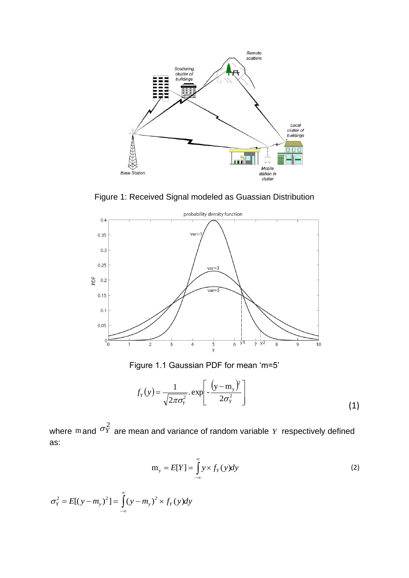

Figure 1: Received Signal modeled as Guassian Distribution



Figure 1.1 Gaussian PDF for mean 'm=5'

$$
f_Y(y) = \frac{1}{\sqrt{2\pi\sigma_Y^2}} \cdot \exp\left[-\frac{\left(y - m_y\right)^2}{2\sigma_Y^2}\right] \tag{1}
$$

where  $m$  and  $\sigma_Y^2$  are mean and variance of random variable Y respectively defined as:

$$
m_{y} = E[Y] = \int_{-\infty}^{\infty} y \times f_{Y}(y) dy
$$
 (2)

$$
\sigma_Y^2 = E[(y - m_y)^2] = \int_{-\infty}^{\infty} (y - m_y)^2 \times f_Y(y) dy
$$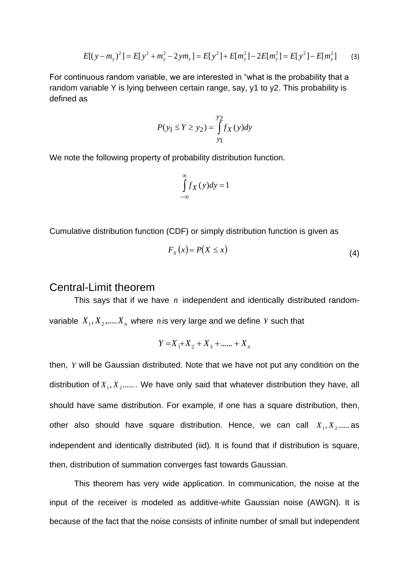$$
E[(y - m_y)^2] = E[y^2 + m_y^2 - 2ym_y] = E[y^2] + E[m_y^2] - 2E[m_y^2] = E[y^2] - E[m_y^2]
$$
 (3)

For continuous random variable, we are interested in "what is the probability that a random variable Y is lying between certain range, say, y1 to y2. This probability is defined as

$$
P(y_1 \le Y \ge y_2) = \int_{y_1}^{y_2} f_X(y) dy
$$

We note the following property of probability distribution function.

$$
\int_{-\infty}^{\infty} f_X(y) dy = 1
$$

Cumulative distribution function (CDF) or simply distribution function is given as

$$
F_X(x) = P(X \le x) \tag{4}
$$

### Central-Limit theorem

This says that if we have  $n$  independent and identically distributed randomvariable  $X_1, X_2, \ldots, X_n$  where n is very large and we define Y such that

$$
Y = X_1 + X_2 + X_3 + \dots + X_n
$$

then, *Y* will be Gaussian distributed. Note that we have not put any condition on the distribution of  $X_1, X_2, \ldots$ . We have only said that whatever distribution they have, all should have same distribution. For example, if one has a square distribution, then, other also should have square distribution. Hence, we can call  $X_1, X_2, \ldots$  as independent and identically distributed (iid). It is found that if distribution is square, then, distribution of summation converges fast towards Gaussian.

This theorem has very wide application. In communication, the noise at the input of the receiver is modeled as additive-white Gaussian noise (AWGN). It is because of the fact that the noise consists of infinite number of small but independent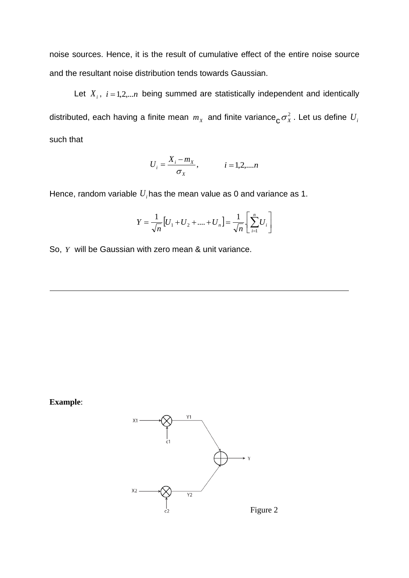noise sources. Hence, it is the result of cumulative effect of the entire noise source and the resultant noise distribution tends towards Gaussian.

Let  $X_i$ ,  $i = 1, 2, \ldots, n$  being summed are statistically independent and identically distributed, each having a finite mean  $m_\chi$  and finite variance $\texttt{c}_{\texttt{C}} \sigma^2_\chi$ . Let us define  $U_i$ such that

$$
U_i = \frac{X_i - m_X}{\sigma_X},
$$
   
  $i = 1, 2, ..., n$ 

Hence, random variable  $U_i$ has the mean value as 0 and variance as 1.

$$
Y = \frac{1}{\sqrt{n}} [U_1 + U_2 + \dots + U_n] = \frac{1}{\sqrt{n}} \left[ \sum_{i=1}^n U_i \right]
$$

So, *Y* will be Gaussian with zero mean & unit variance.



**Example**:

Figure 2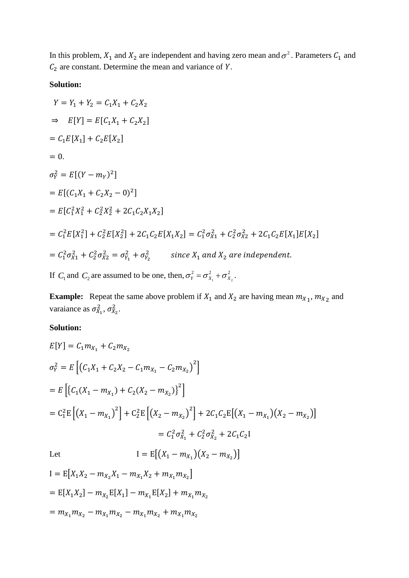In this problem,  $X_1$  and  $X_2$  are independent and having zero mean and  $\sigma^2$ . Parameters  $C_1$  and  $C_2$  are constant. Determine the mean and variance of Y.

#### **Solution:**

$$
Y = Y_1 + Y_2 = C_1X_1 + C_2X_2
$$
  
\n
$$
\Rightarrow E[Y] = E[C_1X_1 + C_2X_2]
$$
  
\n
$$
= C_1E[X_1] + C_2E[X_2]
$$
  
\n
$$
= 0.
$$
  
\n
$$
\sigma_Y^2 = E[(Y - m_Y)^2]
$$
  
\n
$$
= E[(C_1X_1 + C_2X_2 - 0)^2]
$$
  
\n
$$
= E[C_1^2X_1^2 + C_2^2X_2^2 + 2C_1C_2X_1X_2]
$$
  
\n
$$
= C_1^2E[X_1^2] + C_2^2E[X_2^2] + 2C_1C_2E[X_1X_2] = C_1^2\sigma_{X_1}^2 + C_2^2\sigma_{X_2}^2 + 2C_1C_2E[X_1]E[X_2]
$$
  
\n
$$
= C_1^2\sigma_{X_1}^2 + C_2^2\sigma_{X_2}^2 = \sigma_{Y_1}^2 + \sigma_{Y_2}^2
$$
 since  $X_1$  and  $X_2$  are independent.  
\nIf  $C_1$  and  $C_2$  are assumed to be one, then,  $\sigma_Y^2 = \sigma_{X_1}^2 + \sigma_{X_2}^2$ .

**Example:** Repeat the same above problem if  $X_1$  and  $X_2$  are having mean  $m_{X_1}$ ,  $m_{X_2}$  and varaiance as  $\sigma_{X_1}^2$ ,  $\sigma_{X_2}^2$ .

### **Solution:**

$$
E[Y] = C_1 m_{X_1} + C_2 m_{X_2}
$$
  
\n
$$
\sigma_Y^2 = E\left[ (C_1 X_1 + C_2 X_2 - C_1 m_{X_1} - C_2 m_{X_2})^2 \right]
$$
  
\n
$$
= E\left[ \{C_1 (X_1 - m_{X_1}) + C_2 (X_2 - m_{X_2}) \}^2 \right]
$$
  
\n
$$
= C_1^2 E\left[ (X_1 - m_{X_1})^2 \right] + C_2^2 E\left[ (X_2 - m_{X_2})^2 \right] + 2C_1 C_2 E\left[ (X_1 - m_{X_1}) (X_2 - m_{X_2}) \right]
$$
  
\n
$$
= C_1^2 \sigma_{X_1}^2 + C_2^2 \sigma_{X_2}^2 + 2C_1 C_2 I
$$
  
\nLet 
$$
I = E\left[ (X_1 - m_{X_1}) (X_2 - m_{X_2}) \right]
$$
  
\n
$$
I = E[X_1 X_2 - m_{X_2} X_1 - m_{X_1} X_2 + m_{X_1} m_{X_2}]
$$

$$
= \mathbb{E}[X_1 X_2] - m_{X_2} \mathbb{E}[X_1] - m_{X_1} \mathbb{E}[X_2] + m_{X_1} m_{X_2}
$$

$$
= m_{X_1} m_{X_2} - m_{X_1} m_{X_2} - m_{X_1} m_{X_2} + m_{X_1} m_{X_2}
$$